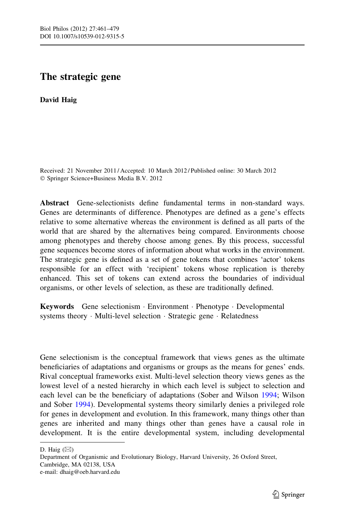# The strategic gene

David Haig

Received: 21 November 2011 / Accepted: 10 March 2012 / Published online: 30 March 2012 - Springer Science+Business Media B.V. 2012

Abstract Gene-selectionists define fundamental terms in non-standard ways. Genes are determinants of difference. Phenotypes are defined as a gene's effects relative to some alternative whereas the environment is defined as all parts of the world that are shared by the alternatives being compared. Environments choose among phenotypes and thereby choose among genes. By this process, successful gene sequences become stores of information about what works in the environment. The strategic gene is defined as a set of gene tokens that combines 'actor' tokens responsible for an effect with 'recipient' tokens whose replication is thereby enhanced. This set of tokens can extend across the boundaries of individual organisms, or other levels of selection, as these are traditionally defined.

Keywords Gene selectionism · Environment · Phenotype · Developmental systems theory - Multi-level selection - Strategic gene - Relatedness

Gene selectionism is the conceptual framework that views genes as the ultimate beneficiaries of adaptations and organisms or groups as the means for genes' ends. Rival conceptual frameworks exist. Multi-level selection theory views genes as the lowest level of a nested hierarchy in which each level is subject to selection and each level can be the beneficiary of adaptations (Sober and Wilson [1994](#page-18-0); Wilson and Sober [1994](#page-18-0)). Developmental systems theory similarly denies a privileged role for genes in development and evolution. In this framework, many things other than genes are inherited and many things other than genes have a causal role in development. It is the entire developmental system, including developmental

D. Haig  $(\boxtimes)$ 

Department of Organismic and Evolutionary Biology, Harvard University, 26 Oxford Street, Cambridge, MA 02138, USA e-mail: dhaig@oeb.harvard.edu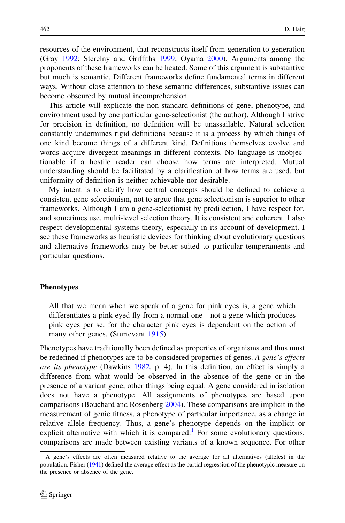resources of the environment, that reconstructs itself from generation to generation (Gray [1992](#page-18-0); Sterelny and Griffiths [1999;](#page-18-0) Oyama [2000](#page-18-0)). Arguments among the proponents of these frameworks can be heated. Some of this argument is substantive but much is semantic. Different frameworks define fundamental terms in different ways. Without close attention to these semantic differences, substantive issues can become obscured by mutual incomprehension.

This article will explicate the non-standard definitions of gene, phenotype, and environment used by one particular gene-selectionist (the author). Although I strive for precision in definition, no definition will be unassailable. Natural selection constantly undermines rigid definitions because it is a process by which things of one kind become things of a different kind. Definitions themselves evolve and words acquire divergent meanings in different contexts. No language is unobjectionable if a hostile reader can choose how terms are interpreted. Mutual understanding should be facilitated by a clarification of how terms are used, but uniformity of definition is neither achievable nor desirable.

My intent is to clarify how central concepts should be defined to achieve a consistent gene selectionism, not to argue that gene selectionism is superior to other frameworks. Although I am a gene-selectionist by predilection, I have respect for, and sometimes use, multi-level selection theory. It is consistent and coherent. I also respect developmental systems theory, especially in its account of development. I see these frameworks as heuristic devices for thinking about evolutionary questions and alternative frameworks may be better suited to particular temperaments and particular questions.

#### Phenotypes

All that we mean when we speak of a gene for pink eyes is, a gene which differentiates a pink eyed fly from a normal one—not a gene which produces pink eyes per se, for the character pink eyes is dependent on the action of many other genes. (Sturtevant [1915](#page-18-0))

Phenotypes have traditionally been defined as properties of organisms and thus must be redefined if phenotypes are to be considered properties of genes. A gene's effects are its phenotype (Dawkins [1982,](#page-18-0) p. 4). In this definition, an effect is simply a difference from what would be observed in the absence of the gene or in the presence of a variant gene, other things being equal. A gene considered in isolation does not have a phenotype. All assignments of phenotypes are based upon comparisons (Bouchard and Rosenberg [2004](#page-17-0)). These comparisons are implicit in the measurement of genic fitness, a phenotype of particular importance, as a change in relative allele frequency. Thus, a gene's phenotype depends on the implicit or explicit alternative with which it is compared.<sup>1</sup> For some evolutionary questions, comparisons are made between existing variants of a known sequence. For other

<sup>&</sup>lt;sup>1</sup> A gene's effects are often measured relative to the average for all alternatives (alleles) in the population. Fisher [\(1941](#page-18-0)) defined the average effect as the partial regression of the phenotypic measure on the presence or absence of the gene.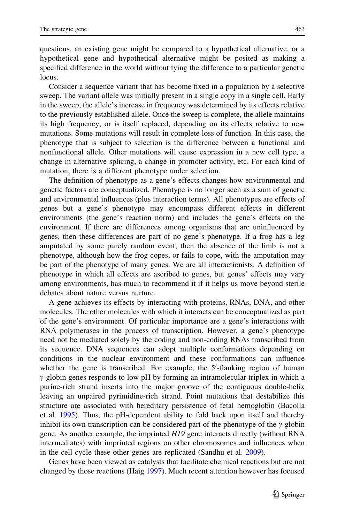questions, an existing gene might be compared to a hypothetical alternative, or a hypothetical gene and hypothetical alternative might be posited as making a specified difference in the world without tying the difference to a particular genetic locus.

Consider a sequence variant that has become fixed in a population by a selective sweep. The variant allele was initially present in a single copy in a single cell. Early in the sweep, the allele's increase in frequency was determined by its effects relative to the previously established allele. Once the sweep is complete, the allele maintains its high frequency, or is itself replaced, depending on its effects relative to new mutations. Some mutations will result in complete loss of function. In this case, the phenotype that is subject to selection is the difference between a functional and nonfunctional allele. Other mutations will cause expression in a new cell type, a change in alternative splicing, a change in promoter activity, etc. For each kind of mutation, there is a different phenotype under selection.

The definition of phenotype as a gene's effects changes how environmental and genetic factors are conceptualized. Phenotype is no longer seen as a sum of genetic and environmental influences (plus interaction terms). All phenotypes are effects of genes but a gene's phenotype may encompass different effects in different environments (the gene's reaction norm) and includes the gene's effects on the environment. If there are differences among organisms that are uninfluenced by genes, then these differences are part of no gene's phenotype. If a frog has a leg amputated by some purely random event, then the absence of the limb is not a phenotype, although how the frog copes, or fails to cope, with the amputation may be part of the phenotype of many genes. We are all interactionists. A definition of phenotype in which all effects are ascribed to genes, but genes' effects may vary among environments, has much to recommend it if it helps us move beyond sterile debates about nature versus nurture.

A gene achieves its effects by interacting with proteins, RNAs, DNA, and other molecules. The other molecules with which it interacts can be conceptualized as part of the gene's environment. Of particular importance are a gene's interactions with RNA polymerases in the process of transcription. However, a gene's phenotype need not be mediated solely by the coding and non-coding RNAs transcribed from its sequence. DNA sequences can adopt multiple conformations depending on conditions in the nuclear environment and these conformations can influence whether the gene is transcribed. For example, the  $5'$ -flanking region of human  $\gamma$ -globin genes responds to low pH by forming an intramolecular triplex in which a purine-rich strand inserts into the major groove of the contiguous double-helix leaving an unpaired pyrimidine-rich strand. Point mutations that destabilize this structure are associated with hereditary persistence of fetal hemoglobin (Bacolla et al. [1995\)](#page-17-0). Thus, the pH-dependent ability to fold back upon itself and thereby inhibit its own transcription can be considered part of the phenotype of the  $\gamma$ -globin gene. As another example, the imprinted H19 gene interacts directly (without RNA intermediates) with imprinted regions on other chromosomes and influences when in the cell cycle these other genes are replicated (Sandhu et al. [2009\)](#page-18-0).

Genes have been viewed as catalysts that facilitate chemical reactions but are not changed by those reactions (Haig [1997](#page-18-0)). Much recent attention however has focused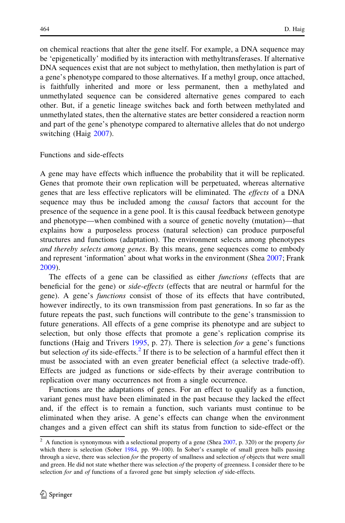on chemical reactions that alter the gene itself. For example, a DNA sequence may be 'epigenetically' modified by its interaction with methyltransferases. If alternative DNA sequences exist that are not subject to methylation, then methylation is part of a gene's phenotype compared to those alternatives. If a methyl group, once attached, is faithfully inherited and more or less permanent, then a methylated and unmethylated sequence can be considered alternative genes compared to each other. But, if a genetic lineage switches back and forth between methylated and unmethylated states, then the alternative states are better considered a reaction norm and part of the gene's phenotype compared to alternative alleles that do not undergo switching (Haig [2007](#page-18-0)).

#### Functions and side-effects

A gene may have effects which influence the probability that it will be replicated. Genes that promote their own replication will be perpetuated, whereas alternative genes that are less effective replicators will be eliminated. The effects of a DNA sequence may thus be included among the causal factors that account for the presence of the sequence in a gene pool. It is this causal feedback between genotype and phenotype—when combined with a source of genetic novelty (mutation)—that explains how a purposeless process (natural selection) can produce purposeful structures and functions (adaptation). The environment selects among phenotypes and thereby selects among genes. By this means, gene sequences come to embody and represent 'information' about what works in the environment (Shea [2007;](#page-18-0) Frank [2009\)](#page-18-0).

The effects of a gene can be classified as either functions (effects that are beneficial for the gene) or side-effects (effects that are neutral or harmful for the gene). A gene's functions consist of those of its effects that have contributed, however indirectly, to its own transmission from past generations. In so far as the future repeats the past, such functions will contribute to the gene's transmission to future generations. All effects of a gene comprise its phenotype and are subject to selection, but only those effects that promote a gene's replication comprise its functions (Haig and Trivers [1995,](#page-18-0) p. 27). There is selection for a gene's functions but selection of its side-effects.<sup>2</sup> If there is to be selection of a harmful effect then it must be associated with an even greater beneficial effect (a selective trade-off). Effects are judged as functions or side-effects by their average contribution to replication over many occurrences not from a single occurrence.

Functions are the adaptations of genes. For an effect to qualify as a function, variant genes must have been eliminated in the past because they lacked the effect and, if the effect is to remain a function, such variants must continue to be eliminated when they arise. A gene's effects can change when the environment changes and a given effect can shift its status from function to side-effect or the

<sup>&</sup>lt;sup>2</sup> A function is synonymous with a selectional property of a gene (Shea  $2007$ , p. 320) or the property for which there is selection (Sober [1984,](#page-18-0) pp. 99-100). In Sober's example of small green balls passing through a sieve, there was selection for the property of smallness and selection of objects that were small and green. He did not state whether there was selection of the property of greenness. I consider there to be selection for and of functions of a favored gene but simply selection of side-effects.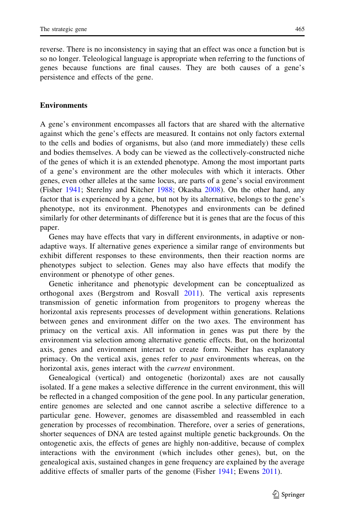reverse. There is no inconsistency in saying that an effect was once a function but is so no longer. Teleological language is appropriate when referring to the functions of genes because functions are final causes. They are both causes of a gene's persistence and effects of the gene.

#### Environments

A gene's environment encompasses all factors that are shared with the alternative against which the gene's effects are measured. It contains not only factors external to the cells and bodies of organisms, but also (and more immediately) these cells and bodies themselves. A body can be viewed as the collectively-constructed niche of the genes of which it is an extended phenotype. Among the most important parts of a gene's environment are the other molecules with which it interacts. Other genes, even other alleles at the same locus, are parts of a gene's social environment (Fisher [1941](#page-18-0); Sterelny and Kitcher [1988](#page-18-0); Okasha [2008\)](#page-18-0). On the other hand, any factor that is experienced by a gene, but not by its alternative, belongs to the gene's phenotype, not its environment. Phenotypes and environments can be defined similarly for other determinants of difference but it is genes that are the focus of this paper.

Genes may have effects that vary in different environments, in adaptive or nonadaptive ways. If alternative genes experience a similar range of environments but exhibit different responses to these environments, then their reaction norms are phenotypes subject to selection. Genes may also have effects that modify the environment or phenotype of other genes.

Genetic inheritance and phenotypic development can be conceptualized as orthogonal axes (Bergstrom and Rosvall [2011\)](#page-17-0). The vertical axis represents transmission of genetic information from progenitors to progeny whereas the horizontal axis represents processes of development within generations. Relations between genes and environment differ on the two axes. The environment has primacy on the vertical axis. All information in genes was put there by the environment via selection among alternative genetic effects. But, on the horizontal axis, genes and environment interact to create form. Neither has explanatory primacy. On the vertical axis, genes refer to past environments whereas, on the horizontal axis, genes interact with the *current* environment.

Genealogical (vertical) and ontogenetic (horizontal) axes are not causally isolated. If a gene makes a selective difference in the current environment, this will be reflected in a changed composition of the gene pool. In any particular generation, entire genomes are selected and one cannot ascribe a selective difference to a particular gene. However, genomes are disassembled and reassembled in each generation by processes of recombination. Therefore, over a series of generations, shorter sequences of DNA are tested against multiple genetic backgrounds. On the ontogenetic axis, the effects of genes are highly non-additive, because of complex interactions with the environment (which includes other genes), but, on the genealogical axis, sustained changes in gene frequency are explained by the average additive effects of smaller parts of the genome (Fisher [1941;](#page-18-0) Ewens [2011\)](#page-18-0).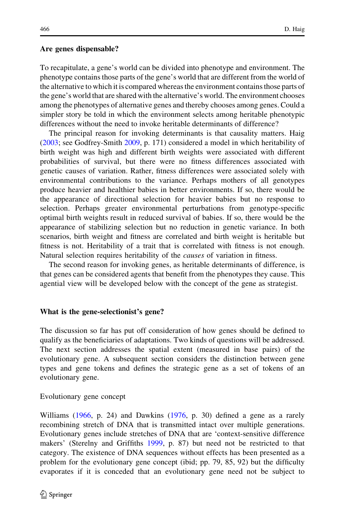#### Are genes dispensable?

To recapitulate, a gene's world can be divided into phenotype and environment. The phenotype contains those parts of the gene's world that are different from the world of the alternative to which it is compared whereas the environment contains those parts of the gene's world that are shared with the alternative's world. The environment chooses among the phenotypes of alternative genes and thereby chooses among genes. Could a simpler story be told in which the environment selects among heritable phenotypic differences without the need to invoke heritable determinants of difference?

The principal reason for invoking determinants is that causality matters. Haig [\(2003](#page-18-0); see Godfrey-Smith [2009](#page-18-0), p. 171) considered a model in which heritability of birth weight was high and different birth weights were associated with different probabilities of survival, but there were no fitness differences associated with genetic causes of variation. Rather, fitness differences were associated solely with environmental contributions to the variance. Perhaps mothers of all genotypes produce heavier and healthier babies in better environments. If so, there would be the appearance of directional selection for heavier babies but no response to selection. Perhaps greater environmental perturbations from genotype-specific optimal birth weights result in reduced survival of babies. If so, there would be the appearance of stabilizing selection but no reduction in genetic variance. In both scenarios, birth weight and fitness are correlated and birth weight is heritable but fitness is not. Heritability of a trait that is correlated with fitness is not enough. Natural selection requires heritability of the *causes* of variation in fitness.

The second reason for invoking genes, as heritable determinants of difference, is that genes can be considered agents that benefit from the phenotypes they cause. This agential view will be developed below with the concept of the gene as strategist.

# What is the gene-selectionist's gene?

The discussion so far has put off consideration of how genes should be defined to qualify as the beneficiaries of adaptations. Two kinds of questions will be addressed. The next section addresses the spatial extent (measured in base pairs) of the evolutionary gene. A subsequent section considers the distinction between gene types and gene tokens and defines the strategic gene as a set of tokens of an evolutionary gene.

# Evolutionary gene concept

Williams [\(1966,](#page-18-0) p. 24) and Dawkins ([1976,](#page-17-0) p. 30) defined a gene as a rarely recombining stretch of DNA that is transmitted intact over multiple generations. Evolutionary genes include stretches of DNA that are 'context-sensitive difference makers' (Sterelny and Griffiths [1999](#page-18-0), p. 87) but need not be restricted to that category. The existence of DNA sequences without effects has been presented as a problem for the evolutionary gene concept (ibid; pp. 79, 85, 92) but the difficulty evaporates if it is conceded that an evolutionary gene need not be subject to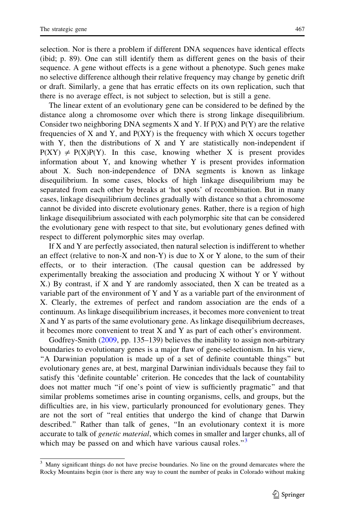selection. Nor is there a problem if different DNA sequences have identical effects (ibid; p. 89). One can still identify them as different genes on the basis of their sequence. A gene without effects is a gene without a phenotype. Such genes make no selective difference although their relative frequency may change by genetic drift or draft. Similarly, a gene that has erratic effects on its own replication, such that there is no average effect, is not subject to selection, but is still a gene.

The linear extent of an evolutionary gene can be considered to be defined by the distance along a chromosome over which there is strong linkage disequilibrium. Consider two neighboring DNA segments X and Y. If  $P(X)$  and  $P(Y)$  are the relative frequencies of X and Y, and  $P(XY)$  is the frequency with which X occurs together with Y, then the distributions of X and Y are statistically non-independent if  $P(XY) \neq P(X)P(Y)$ . In this case, knowing whether X is present provides information about Y, and knowing whether Y is present provides information about X. Such non-independence of DNA segments is known as linkage disequilibrium. In some cases, blocks of high linkage disequilibrium may be separated from each other by breaks at 'hot spots' of recombination. But in many cases, linkage disequilibrium declines gradually with distance so that a chromosome cannot be divided into discrete evolutionary genes. Rather, there is a region of high linkage disequilibrium associated with each polymorphic site that can be considered the evolutionary gene with respect to that site, but evolutionary genes defined with respect to different polymorphic sites may overlap.

If X and Y are perfectly associated, then natural selection is indifferent to whether an effect (relative to non-X and non-Y) is due to X or Y alone, to the sum of their effects, or to their interaction. (The causal question can be addressed by experimentally breaking the association and producing X without Y or Y without X.) By contrast, if X and Y are randomly associated, then X can be treated as a variable part of the environment of Y and Y as a variable part of the environment of X. Clearly, the extremes of perfect and random association are the ends of a continuum. As linkage disequilibrium increases, it becomes more convenient to treat X and Y as parts of the same evolutionary gene. As linkage disequilibrium decreases, it becomes more convenient to treat X and Y as part of each other's environment.

Godfrey-Smith ([2009,](#page-18-0) pp. 135–139) believes the inability to assign non-arbitrary boundaries to evolutionary genes is a major flaw of gene-selectionism. In his view, ''A Darwinian population is made up of a set of definite countable things'' but evolutionary genes are, at best, marginal Darwinian individuals because they fail to satisfy this 'definite countable' criterion. He concedes that the lack of countability does not matter much ''if one's point of view is sufficiently pragmatic'' and that similar problems sometimes arise in counting organisms, cells, and groups, but the difficulties are, in his view, particularly pronounced for evolutionary genes. They are not the sort of ''real entities that undergo the kind of change that Darwin described.'' Rather than talk of genes, ''In an evolutionary context it is more accurate to talk of *genetic material*, which comes in smaller and larger chunks, all of which may be passed on and which have various causal roles."<sup>3</sup>

<sup>&</sup>lt;sup>3</sup> Many significant things do not have precise boundaries. No line on the ground demarcates where the Rocky Mountains begin (nor is there any way to count the number of peaks in Colorado without making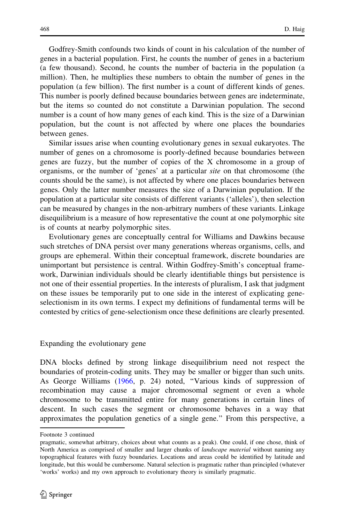Godfrey-Smith confounds two kinds of count in his calculation of the number of genes in a bacterial population. First, he counts the number of genes in a bacterium (a few thousand). Second, he counts the number of bacteria in the population (a million). Then, he multiplies these numbers to obtain the number of genes in the population (a few billion). The first number is a count of different kinds of genes. This number is poorly defined because boundaries between genes are indeterminate, but the items so counted do not constitute a Darwinian population. The second number is a count of how many genes of each kind. This is the size of a Darwinian population, but the count is not affected by where one places the boundaries between genes.

Similar issues arise when counting evolutionary genes in sexual eukaryotes. The number of genes on a chromosome is poorly-defined because boundaries between genes are fuzzy, but the number of copies of the X chromosome in a group of organisms, or the number of 'genes' at a particular site on that chromosome (the counts should be the same), is not affected by where one places boundaries between genes. Only the latter number measures the size of a Darwinian population. If the population at a particular site consists of different variants ('alleles'), then selection can be measured by changes in the non-arbitrary numbers of these variants. Linkage disequilibrium is a measure of how representative the count at one polymorphic site is of counts at nearby polymorphic sites.

Evolutionary genes are conceptually central for Williams and Dawkins because such stretches of DNA persist over many generations whereas organisms, cells, and groups are ephemeral. Within their conceptual framework, discrete boundaries are unimportant but persistence is central. Within Godfrey-Smith's conceptual framework, Darwinian individuals should be clearly identifiable things but persistence is not one of their essential properties. In the interests of pluralism, I ask that judgment on these issues be temporarily put to one side in the interest of explicating geneselectionism in its own terms. I expect my definitions of fundamental terms will be contested by critics of gene-selectionism once these definitions are clearly presented.

Expanding the evolutionary gene

DNA blocks defined by strong linkage disequilibrium need not respect the boundaries of protein-coding units. They may be smaller or bigger than such units. As George Williams ([1966,](#page-18-0) p. 24) noted, ''Various kinds of suppression of recombination may cause a major chromosomal segment or even a whole chromosome to be transmitted entire for many generations in certain lines of descent. In such cases the segment or chromosome behaves in a way that approximates the population genetics of a single gene.'' From this perspective, a

Footnote 3 continued

pragmatic, somewhat arbitrary, choices about what counts as a peak). One could, if one chose, think of North America as comprised of smaller and larger chunks of landscape material without naming any topographical features with fuzzy boundaries. Locations and areas could be identified by latitude and longitude, but this would be cumbersome. Natural selection is pragmatic rather than principled (whatever 'works' works) and my own approach to evolutionary theory is similarly pragmatic.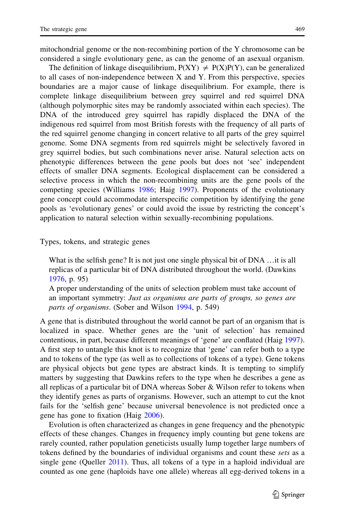The definition of linkage disequilibrium,  $P(XY) \neq P(X)P(Y)$ , can be generalized to all cases of non-independence between X and Y. From this perspective, species boundaries are a major cause of linkage disequilibrium. For example, there is complete linkage disequilibrium between grey squirrel and red squirrel DNA (although polymorphic sites may be randomly associated within each species). The DNA of the introduced grey squirrel has rapidly displaced the DNA of the indigenous red squirrel from most British forests with the frequency of all parts of the red squirrel genome changing in concert relative to all parts of the grey squirrel genome. Some DNA segments from red squirrels might be selectively favored in grey squirrel bodies, but such combinations never arise. Natural selection acts on phenotypic differences between the gene pools but does not 'see' independent effects of smaller DNA segments. Ecological displacement can be considered a selective process in which the non-recombining units are the gene pools of the competing species (Williams [1986](#page-18-0); Haig [1997\)](#page-18-0). Proponents of the evolutionary gene concept could accommodate interspecific competition by identifying the gene pools as 'evolutionary genes' or could avoid the issue by restricting the concept's application to natural selection within sexually-recombining populations.

# Types, tokens, and strategic genes

What is the selfish gene? It is not just one single physical bit of DNA ... it is all replicas of a particular bit of DNA distributed throughout the world. (Dawkins [1976](#page-17-0), p. 95)

A proper understanding of the units of selection problem must take account of an important symmetry: Just as organisms are parts of groups, so genes are parts of organisms. (Sober and Wilson [1994,](#page-18-0) p. 549)

A gene that is distributed throughout the world cannot be part of an organism that is localized in space. Whether genes are the 'unit of selection' has remained contentious, in part, because different meanings of 'gene' are conflated (Haig [1997\)](#page-18-0). A first step to untangle this knot is to recognize that 'gene' can refer both to a type and to tokens of the type (as well as to collections of tokens of a type). Gene tokens are physical objects but gene types are abstract kinds. It is tempting to simplify matters by suggesting that Dawkins refers to the type when he describes a gene as all replicas of a particular bit of DNA whereas Sober  $\&$  Wilson refer to tokens when they identify genes as parts of organisms. However, such an attempt to cut the knot fails for the 'selfish gene' because universal benevolence is not predicted once a gene has gone to fixation (Haig [2006\)](#page-18-0).

Evolution is often characterized as changes in gene frequency and the phenotypic effects of these changes. Changes in frequency imply counting but gene tokens are rarely counted, rather population geneticists usually lump together large numbers of tokens defined by the boundaries of individual organisms and count these *sets* as a single gene (Queller [2011](#page-18-0)). Thus, all tokens of a type in a haploid individual are counted as one gene (haploids have one allele) whereas all egg-derived tokens in a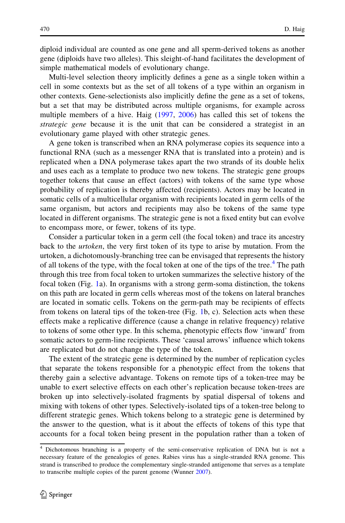diploid individual are counted as one gene and all sperm-derived tokens as another gene (diploids have two alleles). This sleight-of-hand facilitates the development of simple mathematical models of evolutionary change.

Multi-level selection theory implicitly defines a gene as a single token within a cell in some contexts but as the set of all tokens of a type within an organism in other contexts. Gene-selectionists also implicitly define the gene as a set of tokens, but a set that may be distributed across multiple organisms, for example across multiple members of a hive. Haig ([1997,](#page-18-0) [2006](#page-18-0)) has called this set of tokens the strategic gene because it is the unit that can be considered a strategist in an evolutionary game played with other strategic genes.

A gene token is transcribed when an RNA polymerase copies its sequence into a functional RNA (such as a messenger RNA that is translated into a protein) and is replicated when a DNA polymerase takes apart the two strands of its double helix and uses each as a template to produce two new tokens. The strategic gene groups together tokens that cause an effect (actors) with tokens of the same type whose probability of replication is thereby affected (recipients). Actors may be located in somatic cells of a multicellular organism with recipients located in germ cells of the same organism, but actors and recipients may also be tokens of the same type located in different organisms. The strategic gene is not a fixed entity but can evolve to encompass more, or fewer, tokens of its type.

Consider a particular token in a germ cell (the focal token) and trace its ancestry back to the urtoken, the very first token of its type to arise by mutation. From the urtoken, a dichotomously-branching tree can be envisaged that represents the history of all tokens of the type, with the focal token at one of the tips of the tree.<sup>4</sup> The path through this tree from focal token to urtoken summarizes the selective history of the focal token (Fig. [1a](#page-10-0)). In organisms with a strong germ-soma distinction, the tokens on this path are located in germ cells whereas most of the tokens on lateral branches are located in somatic cells. Tokens on the germ-path may be recipients of effects from tokens on lateral tips of the token-tree (Fig. [1b](#page-10-0), c). Selection acts when these effects make a replicative difference (cause a change in relative frequency) relative to tokens of some other type. In this schema, phenotypic effects flow 'inward' from somatic actors to germ-line recipients. These 'causal arrows' influence which tokens are replicated but do not change the type of the token.

The extent of the strategic gene is determined by the number of replication cycles that separate the tokens responsible for a phenotypic effect from the tokens that thereby gain a selective advantage. Tokens on remote tips of a token-tree may be unable to exert selective effects on each other's replication because token-trees are broken up into selectively-isolated fragments by spatial dispersal of tokens and mixing with tokens of other types. Selectively-isolated tips of a token-tree belong to different strategic genes. Which tokens belong to a strategic gene is determined by the answer to the question, what is it about the effects of tokens of this type that accounts for a focal token being present in the population rather than a token of

<sup>4</sup> Dichotomous branching is a property of the semi-conservative replication of DNA but is not a necessary feature of the genealogies of genes. Rabies virus has a single-stranded RNA genome. This strand is transcribed to produce the complementary single-stranded antigenome that serves as a template to transcribe multiple copies of the parent genome (Wunner [2007](#page-18-0)).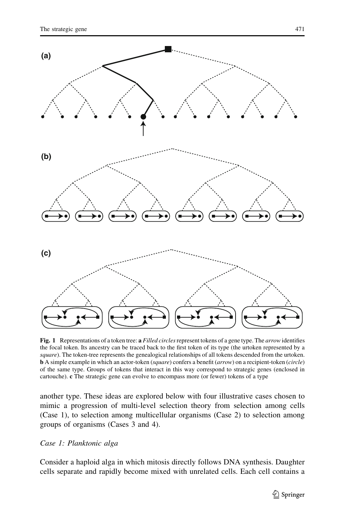<span id="page-10-0"></span>

Fig. 1 Representations of a token tree: a Filled circles represent tokens of a gene type. The arrow identifies the focal token. Its ancestry can be traced back to the first token of its type (the urtoken represented by a square). The token-tree represents the genealogical relationships of all tokens descended from the urtoken. **b** A simple example in which an actor-token (square) confers a benefit (arrow) on a recipient-token (circle) of the same type. Groups of tokens that interact in this way correspond to strategic genes (enclosed in cartouche). c The strategic gene can evolve to encompass more (or fewer) tokens of a type

another type. These ideas are explored below with four illustrative cases chosen to mimic a progression of multi-level selection theory from selection among cells (Case 1), to selection among multicellular organisms (Case 2) to selection among groups of organisms (Cases 3 and 4).

# Case 1: Planktonic alga

Consider a haploid alga in which mitosis directly follows DNA synthesis. Daughter cells separate and rapidly become mixed with unrelated cells. Each cell contains a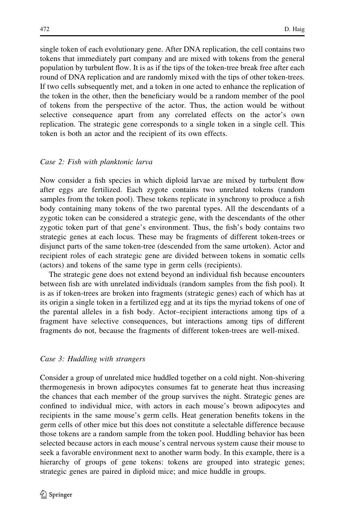single token of each evolutionary gene. After DNA replication, the cell contains two tokens that immediately part company and are mixed with tokens from the general population by turbulent flow. It is as if the tips of the token-tree break free after each round of DNA replication and are randomly mixed with the tips of other token-trees. If two cells subsequently met, and a token in one acted to enhance the replication of the token in the other, then the beneficiary would be a random member of the pool of tokens from the perspective of the actor. Thus, the action would be without selective consequence apart from any correlated effects on the actor's own replication. The strategic gene corresponds to a single token in a single cell. This token is both an actor and the recipient of its own effects.

#### Case 2: Fish with planktonic larva

Now consider a fish species in which diploid larvae are mixed by turbulent flow after eggs are fertilized. Each zygote contains two unrelated tokens (random samples from the token pool). These tokens replicate in synchrony to produce a fish body containing many tokens of the two parental types. All the descendants of a zygotic token can be considered a strategic gene, with the descendants of the other zygotic token part of that gene's environment. Thus, the fish's body contains two strategic genes at each locus. These may be fragments of different token-trees or disjunct parts of the same token-tree (descended from the same urtoken). Actor and recipient roles of each strategic gene are divided between tokens in somatic cells (actors) and tokens of the same type in germ cells (recipients).

The strategic gene does not extend beyond an individual fish because encounters between fish are with unrelated individuals (random samples from the fish pool). It is as if token-trees are broken into fragments (strategic genes) each of which has at its origin a single token in a fertilized egg and at its tips the myriad tokens of one of the parental alleles in a fish body. Actor–recipient interactions among tips of a fragment have selective consequences, but interactions among tips of different fragments do not, because the fragments of different token-trees are well-mixed.

#### Case 3: Huddling with strangers

Consider a group of unrelated mice huddled together on a cold night. Non-shivering thermogenesis in brown adipocytes consumes fat to generate heat thus increasing the chances that each member of the group survives the night. Strategic genes are confined to individual mice, with actors in each mouse's brown adipocytes and recipients in the same mouse's germ cells. Heat generation benefits tokens in the germ cells of other mice but this does not constitute a selectable difference because those tokens are a random sample from the token pool. Huddling behavior has been selected because actors in each mouse's central nervous system cause their mouse to seek a favorable environment next to another warm body. In this example, there is a hierarchy of groups of gene tokens: tokens are grouped into strategic genes; strategic genes are paired in diploid mice; and mice huddle in groups.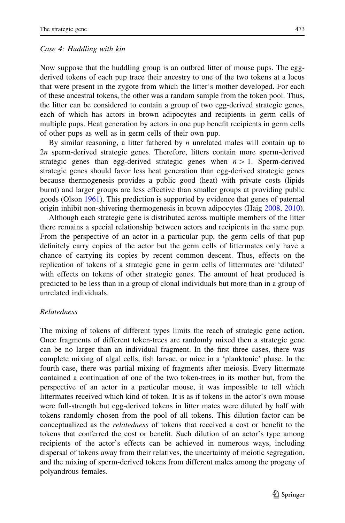#### Case 4: Huddling with kin

Now suppose that the huddling group is an outbred litter of mouse pups. The eggderived tokens of each pup trace their ancestry to one of the two tokens at a locus that were present in the zygote from which the litter's mother developed. For each of these ancestral tokens, the other was a random sample from the token pool. Thus, the litter can be considered to contain a group of two egg-derived strategic genes, each of which has actors in brown adipocytes and recipients in germ cells of multiple pups. Heat generation by actors in one pup benefit recipients in germ cells of other pups as well as in germ cells of their own pup.

By similar reasoning, a litter fathered by  $n$  unrelated males will contain up to 2n sperm-derived strategic genes. Therefore, litters contain more sperm-derived strategic genes than egg-derived strategic genes when  $n > 1$ . Sperm-derived strategic genes should favor less heat generation than egg-derived strategic genes because thermogenesis provides a public good (heat) with private costs (lipids burnt) and larger groups are less effective than smaller groups at providing public goods (Olson [1961](#page-18-0)). This prediction is supported by evidence that genes of paternal origin inhibit non-shivering thermogenesis in brown adipocytes (Haig [2008](#page-18-0), [2010\)](#page-18-0).

Although each strategic gene is distributed across multiple members of the litter there remains a special relationship between actors and recipients in the same pup. From the perspective of an actor in a particular pup, the germ cells of that pup definitely carry copies of the actor but the germ cells of littermates only have a chance of carrying its copies by recent common descent. Thus, effects on the replication of tokens of a strategic gene in germ cells of littermates are 'diluted' with effects on tokens of other strategic genes. The amount of heat produced is predicted to be less than in a group of clonal individuals but more than in a group of unrelated individuals.

#### Relatedness

The mixing of tokens of different types limits the reach of strategic gene action. Once fragments of different token-trees are randomly mixed then a strategic gene can be no larger than an individual fragment. In the first three cases, there was complete mixing of algal cells, fish larvae, or mice in a 'planktonic' phase. In the fourth case, there was partial mixing of fragments after meiosis. Every littermate contained a continuation of one of the two token-trees in its mother but, from the perspective of an actor in a particular mouse, it was impossible to tell which littermates received which kind of token. It is as if tokens in the actor's own mouse were full-strength but egg-derived tokens in litter mates were diluted by half with tokens randomly chosen from the pool of all tokens. This dilution factor can be conceptualized as the relatedness of tokens that received a cost or benefit to the tokens that conferred the cost or benefit. Such dilution of an actor's type among recipients of the actor's effects can be achieved in numerous ways, including dispersal of tokens away from their relatives, the uncertainty of meiotic segregation, and the mixing of sperm-derived tokens from different males among the progeny of polyandrous females.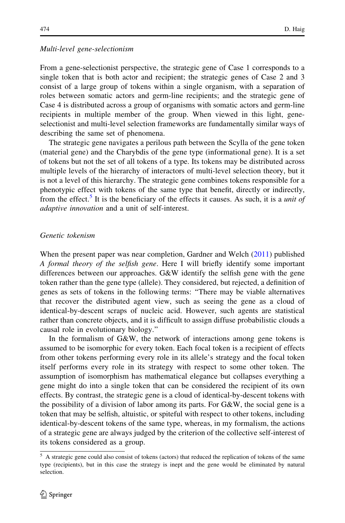#### Multi-level gene-selectionism

From a gene-selectionist perspective, the strategic gene of Case 1 corresponds to a single token that is both actor and recipient; the strategic genes of Case 2 and 3 consist of a large group of tokens within a single organism, with a separation of roles between somatic actors and germ-line recipients; and the strategic gene of Case 4 is distributed across a group of organisms with somatic actors and germ-line recipients in multiple member of the group. When viewed in this light, geneselectionist and multi-level selection frameworks are fundamentally similar ways of describing the same set of phenomena.

The strategic gene navigates a perilous path between the Scylla of the gene token (material gene) and the Charybdis of the gene type (informational gene). It is a set of tokens but not the set of all tokens of a type. Its tokens may be distributed across multiple levels of the hierarchy of interactors of multi-level selection theory, but it is not a level of this hierarchy. The strategic gene combines tokens responsible for a phenotypic effect with tokens of the same type that benefit, directly or indirectly, from the effect.<sup>5</sup> It is the beneficiary of the effects it causes. As such, it is a *unit of* adaptive innovation and a unit of self-interest.

### Genetic tokenism

When the present paper was near completion, Gardner and Welch [\(2011](#page-18-0)) published A formal theory of the selfish gene. Here I will briefly identify some important differences between our approaches. G&W identify the selfish gene with the gene token rather than the gene type (allele). They considered, but rejected, a definition of genes as sets of tokens in the following terms: ''There may be viable alternatives that recover the distributed agent view, such as seeing the gene as a cloud of identical-by-descent scraps of nucleic acid. However, such agents are statistical rather than concrete objects, and it is difficult to assign diffuse probabilistic clouds a causal role in evolutionary biology.''

In the formalism of G&W, the network of interactions among gene tokens is assumed to be isomorphic for every token. Each focal token is a recipient of effects from other tokens performing every role in its allele's strategy and the focal token itself performs every role in its strategy with respect to some other token. The assumption of isomorphism has mathematical elegance but collapses everything a gene might do into a single token that can be considered the recipient of its own effects. By contrast, the strategic gene is a cloud of identical-by-descent tokens with the possibility of a division of labor among its parts. For G&W, the social gene is a token that may be selfish, altuistic, or spiteful with respect to other tokens, including identical-by-descent tokens of the same type, whereas, in my formalism, the actions of a strategic gene are always judged by the criterion of the collective self-interest of its tokens considered as a group.

<sup>5</sup> A strategic gene could also consist of tokens (actors) that reduced the replication of tokens of the same type (recipients), but in this case the strategy is inept and the gene would be eliminated by natural selection.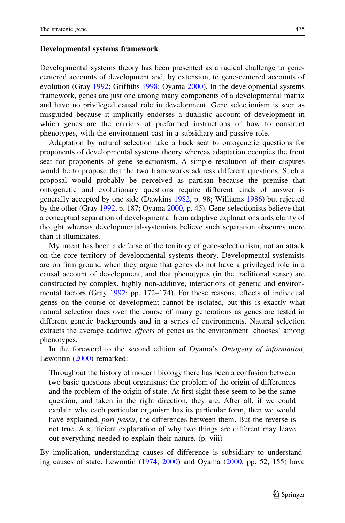#### Developmental systems framework

Developmental systems theory has been presented as a radical challenge to genecentered accounts of development and, by extension, to gene-centered accounts of evolution (Gray [1992](#page-18-0); Griffiths [1998](#page-18-0); Oyama [2000\)](#page-18-0). In the developmental systems framework, genes are just one among many components of a developmental matrix and have no privileged causal role in development. Gene selectionism is seen as misguided because it implicitly endorses a dualistic account of development in which genes are the carriers of preformed instructions of how to construct phenotypes, with the environment cast in a subsidiary and passive role.

Adaptation by natural selection take a back seat to ontogenetic questions for proponents of developmental systems theory whereas adaptation occupies the front seat for proponents of gene selectionism. A simple resolution of their disputes would be to propose that the two frameworks address different questions. Such a proposal would probably be perceived as partisan because the premise that ontogenetic and evolutionary questions require different kinds of answer is generally accepted by one side (Dawkins [1982,](#page-18-0) p. 98; Williams [1986](#page-18-0)) but rejected by the other (Gray [1992,](#page-18-0) p. 187; Oyama [2000](#page-18-0), p. 45). Gene-selectionists believe that a conceptual separation of developmental from adaptive explanations aids clarity of thought whereas developmental-systemists believe such separation obscures more than it illuminates.

My intent has been a defense of the territory of gene-selectionism, not an attack on the core territory of developmental systems theory. Developmental-systemists are on firm ground when they argue that genes do not have a privileged role in a causal account of development, and that phenotypes (in the traditional sense) are constructed by complex, highly non-additive, interactions of genetic and environmental factors (Gray [1992](#page-18-0); pp. 172–174). For these reasons, effects of individual genes on the course of development cannot be isolated, but this is exactly what natural selection does over the course of many generations as genes are tested in different genetic backgrounds and in a series of environments. Natural selection extracts the average additive *effects* of genes as the environment 'chooses' among phenotypes.

In the foreword to the second edition of Oyama's Ontogeny of information, Lewontin [\(2000\)](#page-18-0) remarked:

Throughout the history of modern biology there has been a confusion between two basic questions about organisms: the problem of the origin of differences and the problem of the origin of state. At first sight these seem to be the same question, and taken in the right direction, they are. After all, if we could explain why each particular organism has its particular form, then we would have explained, *pari passu*, the differences between them. But the reverse is not true. A sufficient explanation of why two things are different may leave out everything needed to explain their nature. (p. viii)

By implication, understanding causes of difference is subsidiary to understanding causes of state. Lewontin [\(1974](#page-18-0), [2000\)](#page-18-0) and Oyama [\(2000](#page-18-0), pp. 52, 155) have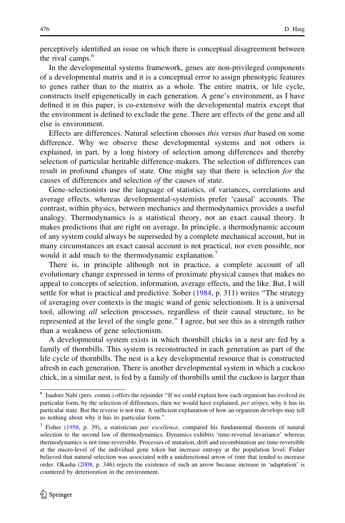perceptively identified an issue on which there is conceptual disagreement between the rival camps.<sup>6</sup>

In the developmental systems framework, genes are non-privileged components of a developmental matrix and it is a conceptual error to assign phenotypic features to genes rather than to the matrix as a whole. The entire matrix, or life cycle, constructs itself epigenetically in each generation. A gene's environment, as I have defined it in this paper, is co-extensive with the developmental matrix except that the environment is defined to exclude the gene. There are effects of the gene and all else is environment.

Effects are differences. Natural selection chooses this versus that based on some difference. Why we observe these developmental systems and not others is explained, in part, by a long history of selection among differences and thereby selection of particular heritable difference-makers. The selection of differences can result in profound changes of state. One might say that there is selection for the causes of differences and selection of the causes of state.

Gene-selectionists use the language of statistics, of variances, correlations and average effects, whereas developmental-systemists prefer 'causal' accounts. The contrast, within physics, between mechanics and thermodynamics provides a useful analogy. Thermodynamics is a statistical theory, not an exact causal theory. It makes predictions that are right on average. In principle, a thermodynamic account of any system could always be superseded by a complete mechanical account, but in many circumstances an exact causal account is not practical, nor even possible, nor would it add much to the thermodynamic explanation.<sup>7</sup>

There is, in principle although not in practice, a complete account of all evolutionary change expressed in terms of proximate physical causes that makes no appeal to concepts of selection, information, average effects, and the like. But, I will settle for what is practical and predictive. Sober ([1984,](#page-18-0) p. 311) writes "The strategy of averaging over contexts is the magic wand of genic selectionism. It is a universal tool, allowing all selection processes, regardless of their causal structure, to be represented at the level of the single gene.'' I agree, but see this as a strength rather than a weakness of gene selectionism.

A developmental system exists in which thornbill chicks in a nest are fed by a family of thornbills. This system is reconstructed in each generation as part of the life cycle of thornbills. The nest is a key developmental resource that is constructed afresh in each generation. There is another developmental system in which a cuckoo chick, in a similar nest, is fed by a family of thornbills until the cuckoo is larger than

<sup>6</sup> Isadore Nabi (pers. comm.) offers the rejoinder ''If we could explain how each organism has evolved its particular form, by the selection of differences, then we would have explained, per stirpes, why it has its particular state. But the reverse is not true. A sufficient explanation of how an organism develops may tell us nothing about why it has its particular form.''

 $7$  Fisher [\(1958](#page-18-0), p. 39), a statistician par excellence, compared his fundamental theorem of natural selection to the second law of thermodynamics. Dynamics exhibits 'time-reversal invariance' whereas thermodynamics is not time-reversible. Processes of mutation, drift and recombination are time-reversible at the micro-level of the individual gene token but increase entropy at the population level. Fisher believed that natural selection was associated with a unidirectional arrow of time that tended to increase order. Okasha ([2008,](#page-18-0) p. 346) rejects the existence of such an arrow because increase in 'adaptation' is countered by deterioration in the environment.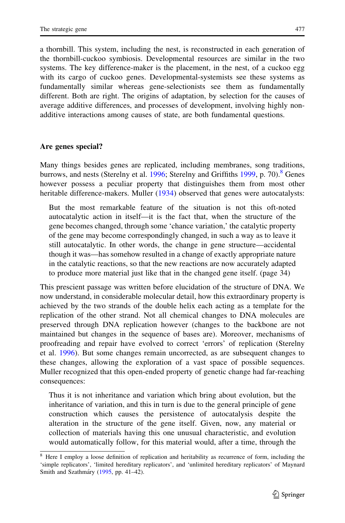a thornbill. This system, including the nest, is reconstructed in each generation of the thornbill-cuckoo symbiosis. Developmental resources are similar in the two systems. The key difference-maker is the placement, in the nest, of a cuckoo egg with its cargo of cuckoo genes. Developmental-systemists see these systems as fundamentally similar whereas gene-selectionists see them as fundamentally different. Both are right. The origins of adaptation, by selection for the causes of average additive differences, and processes of development, involving highly nonadditive interactions among causes of state, are both fundamental questions.

# Are genes special?

Many things besides genes are replicated, including membranes, song traditions, burrows, and nests (Sterelny et al. [1996;](#page-18-0) Sterelny and Griffiths [1999,](#page-18-0) p. 70).<sup>8</sup> Genes however possess a peculiar property that distinguishes them from most other heritable difference-makers. Muller [\(1934](#page-18-0)) observed that genes were autocatalysts:

But the most remarkable feature of the situation is not this oft-noted autocatalytic action in itself—it is the fact that, when the structure of the gene becomes changed, through some 'chance variation,' the catalytic property of the gene may become correspondingly changed, in such a way as to leave it still autocatalytic. In other words, the change in gene structure—accidental though it was—has somehow resulted in a change of exactly appropriate nature in the catalytic reactions, so that the new reactions are now accurately adapted to produce more material just like that in the changed gene itself. (page 34)

This prescient passage was written before elucidation of the structure of DNA. We now understand, in considerable molecular detail, how this extraordinary property is achieved by the two strands of the double helix each acting as a template for the replication of the other strand. Not all chemical changes to DNA molecules are preserved through DNA replication however (changes to the backbone are not maintained but changes in the sequence of bases are). Moreover, mechanisms of proofreading and repair have evolved to correct 'errors' of replication (Sterelny et al. [1996](#page-18-0)). But some changes remain uncorrected, as are subsequent changes to these changes, allowing the exploration of a vast space of possible sequences. Muller recognized that this open-ended property of genetic change had far-reaching consequences:

Thus it is not inheritance and variation which bring about evolution, but the inheritance of variation, and this in turn is due to the general principle of gene construction which causes the persistence of autocatalysis despite the alteration in the structure of the gene itself. Given, now, any material or collection of materials having this one unusual characteristic, and evolution would automatically follow, for this material would, after a time, through the

<sup>8</sup> Here I employ a loose definition of replication and heritability as recurrence of form, including the 'simple replicators', 'limited hereditary replicators', and 'unlimited hereditary replicators' of Maynard Smith and Szathmáry [\(1995](#page-18-0), pp. 41–42).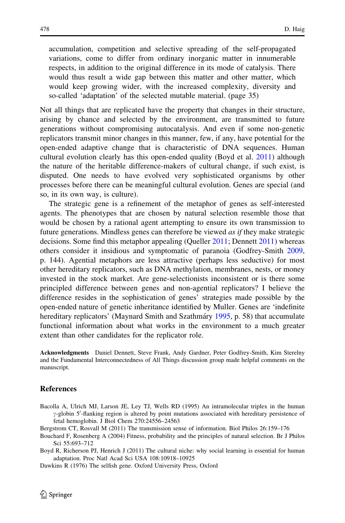<span id="page-17-0"></span>accumulation, competition and selective spreading of the self-propagated variations, come to differ from ordinary inorganic matter in innumerable respects, in addition to the original difference in its mode of catalysis. There would thus result a wide gap between this matter and other matter, which would keep growing wider, with the increased complexity, diversity and so-called 'adaptation' of the selected mutable material. (page 35)

Not all things that are replicated have the property that changes in their structure, arising by chance and selected by the environment, are transmitted to future generations without compromising autocatalysis. And even if some non-genetic replicators transmit minor changes in this manner, few, if any, have potential for the open-ended adaptive change that is characteristic of DNA sequences. Human cultural evolution clearly has this open-ended quality (Boyd et al. 2011) although the nature of the heritable difference-makers of cultural change, if such exist, is disputed. One needs to have evolved very sophisticated organisms by other processes before there can be meaningful cultural evolution. Genes are special (and so, in its own way, is culture).

The strategic gene is a refinement of the metaphor of genes as self-interested agents. The phenotypes that are chosen by natural selection resemble those that would be chosen by a rational agent attempting to ensure its own transmission to future generations. Mindless genes can therefore be viewed *as if* they make strategic decisions. Some find this metaphor appealing (Queller [2011;](#page-18-0) Dennett [2011\)](#page-18-0) whereas others consider it insidious and symptomatic of paranoia (Godfrey-Smith [2009,](#page-18-0) p. 144). Agential metaphors are less attractive (perhaps less seductive) for most other hereditary replicators, such as DNA methylation, membranes, nests, or money invested in the stock market. Are gene-selectionists inconsistent or is there some principled difference between genes and non-agential replicators? I believe the difference resides in the sophistication of genes' strategies made possible by the open-ended nature of genetic inheritance identified by Muller. Genes are 'indefinite hereditary replicators' (Maynard Smith and Szathmáry [1995,](#page-18-0) p. 58) that accumulate functional information about what works in the environment to a much greater extent than other candidates for the replicator role.

Acknowledgments Daniel Dennett, Steve Frank, Andy Gardner, Peter Godfrey-Smith, Kim Sterelny and the Fundamental Interconnectedness of All Things discussion group made helpful comments on the manuscript.

#### **References**

Bacolla A, Ulrich MJ, Larson JE, Ley TJ, Wells RD (1995) An intramolecular triplex in the human y-globin 5'-flanking region is altered by point mutations associated with hereditary persistence of fetal hemoglobin. J Biol Chem 270:24556–24563

Bergstrom CT, Rosvall M (2011) The transmission sense of information. Biol Philos 26:159–176

- Bouchard F, Rosenberg A (2004) Fitness, probability and the principles of natural selection. Br J Philos Sci 55:693–712
- Boyd R, Richerson PJ, Henrich J (2011) The cultural niche: why social learning is essential for human adaptation. Proc Natl Acad Sci USA 108:10918–10925

Dawkins R (1976) The selfish gene. Oxford University Press, Oxford